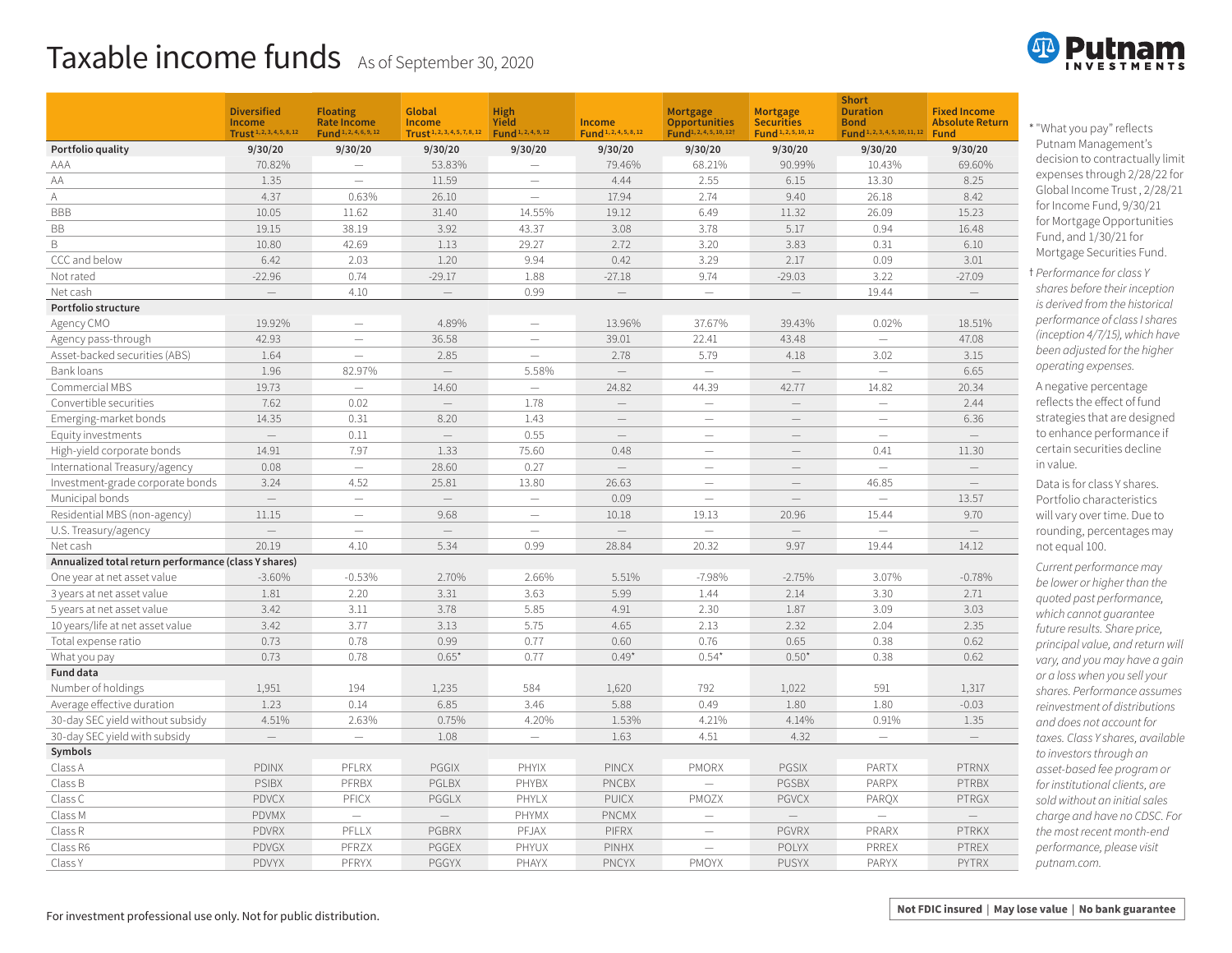## Taxable income funds As of September 30, 2020

|                                                      | <b>Diversified</b><br>Income<br>Trust <sup>1, 2, 3, 4, 5, 8, 12</sup> | <b>Floating</b><br><b>Rate Income</b><br>Fund <sup>1, 2, 4, 6, 9, 12</sup> | Global<br>Income<br>Trust <sup>1, 2, 3, 4, 5, 7, 8, 12</sup> | High<br>Yield<br>Fund <sup>1, 2, 4, 9, 12</sup> | Income<br>Fund <sup>1, 2, 4, 5, 8, 12</sup> | Mortgage<br><b>Opportunities</b><br>Fund <sup>1, 2, 4, 5, 10, 12†</sup> | Mortgage<br><b>Securities</b><br>Fund <sup>1, 2, 5, 10, 12</sup> | <b>Short</b><br><b>Duration</b><br><b>Bond</b><br>Fund <sup>1, 2, 3, 4, 5, 10, 11, 12</sup> | <b>Fixed Income</b><br><b>Absolute Return</b><br><b>Fund</b> |
|------------------------------------------------------|-----------------------------------------------------------------------|----------------------------------------------------------------------------|--------------------------------------------------------------|-------------------------------------------------|---------------------------------------------|-------------------------------------------------------------------------|------------------------------------------------------------------|---------------------------------------------------------------------------------------------|--------------------------------------------------------------|
| Portfolio quality                                    | 9/30/20                                                               | 9/30/20                                                                    | 9/30/20                                                      | 9/30/20                                         | 9/30/20                                     | 9/30/20                                                                 | 9/30/20                                                          | 9/30/20                                                                                     | 9/30/20                                                      |
| AAA                                                  | 70.82%                                                                |                                                                            | 53.83%                                                       |                                                 | 79.46%                                      | 68.21%                                                                  | 90.99%                                                           | 10.43%                                                                                      | 69.60%                                                       |
| AA                                                   | 1.35                                                                  | $\overline{\phantom{0}}$                                                   | 11.59                                                        | $\overline{\phantom{0}}$                        | 4.44                                        | 2.55                                                                    | 6.15                                                             | 13.30                                                                                       | 8.25                                                         |
| Α                                                    | 4.37                                                                  | 0.63%                                                                      | 26.10                                                        | $\overline{\phantom{0}}$                        | 17.94                                       | 2.74                                                                    | 9.40                                                             | 26.18                                                                                       | 8.42                                                         |
| <b>BBB</b>                                           | 10.05                                                                 | 11.62                                                                      | 31.40                                                        | 14.55%                                          | 19.12                                       | 6.49                                                                    | 11.32                                                            | 26.09                                                                                       | 15.23                                                        |
| <b>BB</b>                                            | 19.15                                                                 | 38.19                                                                      | 3.92                                                         | 43.37                                           | 3.08                                        | 3.78                                                                    | 5.17                                                             | 0.94                                                                                        | 16.48                                                        |
| B                                                    | 10.80                                                                 | 42.69                                                                      | 1.13                                                         | 29.27                                           | 2.72                                        | 3.20                                                                    | 3.83                                                             | 0.31                                                                                        | 6.10                                                         |
| CCC and below                                        | 6.42                                                                  | 2.03                                                                       | 1.20                                                         | 9.94                                            | 0.42                                        | 3.29                                                                    | 2.17                                                             | 0.09                                                                                        | 3.01                                                         |
| Not rated                                            | $-22.96$                                                              | 0.74                                                                       | $-29.17$                                                     | 1.88                                            | $-27.18$                                    | 9.74                                                                    | $-29.03$                                                         | 3.22                                                                                        | $-27.09$                                                     |
| Net cash                                             | $\overline{\phantom{0}}$                                              | 4.10                                                                       | $-$                                                          | 0.99                                            |                                             | $\qquad \qquad -$                                                       | $-$                                                              | 19.44                                                                                       |                                                              |
| Portfolio structure                                  |                                                                       |                                                                            |                                                              |                                                 |                                             |                                                                         |                                                                  |                                                                                             |                                                              |
| Agency CMO                                           | 19.92%                                                                |                                                                            | 4.89%                                                        |                                                 | 13.96%                                      | 37.67%                                                                  | 39.43%                                                           | 0.02%                                                                                       | 18.51%                                                       |
| Agency pass-through                                  | 42.93                                                                 | $\overline{\phantom{0}}$                                                   | 36.58                                                        |                                                 | 39.01                                       | 22.41                                                                   | 43.48                                                            |                                                                                             | 47.08                                                        |
| Asset-backed securities (ABS)                        | 1.64                                                                  |                                                                            | 2.85                                                         | $\overbrace{\phantom{123221111}}$               | 2.78                                        | 5.79                                                                    | 4.18                                                             | 3.02                                                                                        | 3.15                                                         |
| Bank loans                                           | 1.96                                                                  | 82.97%                                                                     |                                                              | 5.58%                                           |                                             | $\overline{\phantom{0}}$                                                |                                                                  | $\overline{\phantom{0}}$                                                                    | 6.65                                                         |
| Commercial MBS                                       | 19.73                                                                 | $\overline{\phantom{0}}$                                                   | 14.60                                                        | $\overline{\phantom{0}}$                        | 24.82                                       | 44.39                                                                   | 42.77                                                            | 14.82                                                                                       | 20.34                                                        |
| Convertible securities                               | 7.62                                                                  | 0.02                                                                       | $\overline{\phantom{0}}$                                     | 1.78                                            |                                             | $\qquad \qquad$                                                         | $\overline{\phantom{0}}$                                         | $\equiv$                                                                                    | 2.44                                                         |
| Emerging-market bonds                                | 14.35                                                                 | 0.31                                                                       | 8.20                                                         | 1.43                                            | $\overline{\phantom{a}}$                    | $\qquad \qquad$                                                         |                                                                  | $\equiv$                                                                                    | 6.36                                                         |
| Equity investments                                   | $\qquad \qquad -$                                                     | 0.11                                                                       | $\equiv$                                                     | 0.55                                            | $\overline{\phantom{a}}$                    | $\equiv$                                                                | $\overline{\phantom{0}}$                                         | $\overline{\phantom{a}}$                                                                    |                                                              |
| High-yield corporate bonds                           | 14.91                                                                 | 7.97                                                                       | 1.33                                                         | 75.60                                           | 0.48                                        | $\overline{\phantom{0}}$                                                | $\overline{\phantom{0}}$                                         | 0.41                                                                                        | 11.30                                                        |
| International Treasury/agency                        | 0.08                                                                  | $\equiv$                                                                   | 28.60                                                        | 0.27                                            |                                             | $\overline{\phantom{0}}$                                                |                                                                  | $\equiv$                                                                                    |                                                              |
| Investment-grade corporate bonds                     | 3.24                                                                  | 4.52                                                                       | 25.81                                                        | 13.80                                           | 26.63                                       |                                                                         | $\overline{\phantom{0}}$                                         | 46.85                                                                                       |                                                              |
| Municipal bonds                                      |                                                                       |                                                                            | $=$                                                          | $\overline{\phantom{0}}$                        | 0.09                                        | $\overline{\phantom{0}}$                                                | $-$                                                              |                                                                                             | 13.57                                                        |
| Residential MBS (non-agency)                         | 11.15                                                                 | $\sim$                                                                     | 9.68                                                         | $\overline{\phantom{0}}$                        | 10.18                                       | 19.13                                                                   | 20.96                                                            | 15.44                                                                                       | 9.70                                                         |
| U.S. Treasury/agency                                 |                                                                       |                                                                            | $\overline{\phantom{0}}$                                     |                                                 |                                             | $\overline{\phantom{0}}$                                                |                                                                  |                                                                                             |                                                              |
| Net cash                                             | 20.19                                                                 | 4.10                                                                       | 5.34                                                         | 0.99                                            | 28.84                                       | 20.32                                                                   | 9.97                                                             | 19.44                                                                                       | 14.12                                                        |
| Annualized total return performance (class Y shares) |                                                                       |                                                                            |                                                              |                                                 |                                             |                                                                         |                                                                  |                                                                                             |                                                              |
| One year at net asset value                          | $-3.60%$                                                              | $-0.53%$                                                                   | 2.70%                                                        | 2.66%                                           | 5.51%                                       | $-7.98%$                                                                | $-2.75%$                                                         | 3.07%                                                                                       | $-0.78%$                                                     |
| 3 years at net asset value                           | 1.81                                                                  | 2.20                                                                       | 3.31                                                         | 3.63                                            | 5.99                                        | 1.44                                                                    | 2.14                                                             | 3.30                                                                                        | 2.71                                                         |
| 5 years at net asset value                           | 3.42                                                                  | 3.11                                                                       | 3.78                                                         | 5.85                                            | 4.91                                        | 2.30                                                                    | 1.87                                                             | 3.09                                                                                        | 3.03                                                         |
| 10 years/life at net asset value                     | 3.42                                                                  | 3.77                                                                       | 3.13                                                         | 5.75                                            | 4.65                                        | 2.13                                                                    | 2.32                                                             | 2.04                                                                                        | 2.35                                                         |
| Total expense ratio                                  | 0.73                                                                  | 0.78                                                                       | 0.99                                                         | 0.77                                            | 0.60                                        | 0.76                                                                    | 0.65                                                             | 0.38                                                                                        | 0.62                                                         |
| What you pay                                         | 0.73                                                                  | 0.78                                                                       | 0.65'                                                        | 0.77                                            | $0.49*$                                     | $0.54*$                                                                 | $0.50*$                                                          | 0.38                                                                                        | 0.62                                                         |
| Fund data                                            |                                                                       |                                                                            |                                                              |                                                 |                                             |                                                                         |                                                                  |                                                                                             |                                                              |
| Number of holdings                                   | 1,951                                                                 | 194                                                                        | 1,235                                                        | 584                                             | 1,620                                       | 792                                                                     | 1,022                                                            | 591                                                                                         | 1,317                                                        |
| Average effective duration                           | 1.23                                                                  | 0.14                                                                       | 6.85                                                         | 3.46                                            | 5.88                                        | 0.49                                                                    | 1.80                                                             | 1.80                                                                                        | $-0.03$                                                      |
| 30-day SEC yield without subsidy                     | 4.51%                                                                 | 2.63%                                                                      | 0.75%                                                        | 4.20%                                           | 1.53%                                       | 4.21%                                                                   | 4.14%                                                            | 0.91%                                                                                       | 1.35                                                         |
| 30-day SEC yield with subsidy                        |                                                                       |                                                                            | 1.08                                                         |                                                 | 1.63                                        | 4.51                                                                    | 4.32                                                             |                                                                                             |                                                              |
| Symbols                                              |                                                                       |                                                                            |                                                              |                                                 |                                             |                                                                         |                                                                  |                                                                                             |                                                              |
| Class A                                              | <b>PDINX</b>                                                          | PFLRX                                                                      | PGGIX                                                        | PHYIX                                           | <b>PINCX</b>                                | <b>PMORX</b>                                                            | <b>PGSIX</b>                                                     | <b>PARTX</b>                                                                                | <b>PTRNX</b>                                                 |
| Class B                                              | <b>PSIBX</b>                                                          | PFRBX                                                                      | PGLBX                                                        | PHYBX                                           | <b>PNCBX</b>                                |                                                                         | <b>PGSBX</b>                                                     | PARPX                                                                                       | <b>PTRBX</b>                                                 |
| Class C                                              | <b>PDVCX</b>                                                          | PFICX                                                                      | PGGLX                                                        | PHYLX                                           | <b>PUICX</b>                                | PMOZX                                                                   | <b>PGVCX</b>                                                     | PARQX                                                                                       | <b>PTRGX</b>                                                 |
| Class M                                              | <b>PDVMX</b>                                                          | $\overline{\phantom{m}}$                                                   | $\overline{\phantom{0}}$                                     | PHYMX                                           | <b>PNCMX</b>                                | $\equiv$                                                                |                                                                  |                                                                                             |                                                              |
| Class R                                              | <b>PDVRX</b>                                                          | PFLLX                                                                      | <b>PGBRX</b>                                                 | PFJAX                                           | <b>PIFRX</b>                                | $\overline{\phantom{0}}$                                                | <b>PGVRX</b>                                                     | PRARX                                                                                       | <b>PTRKX</b>                                                 |
| Class R6                                             | PDVGX                                                                 | PFRZX                                                                      | PGGEX                                                        | PHYUX                                           | <b>PINHX</b>                                |                                                                         | <b>POLYX</b>                                                     | PRREX                                                                                       | PTREX                                                        |
| Class Y                                              | PDVYX                                                                 | PFRYX                                                                      | PGGYX                                                        | PHAYX                                           | <b>PNCYX</b>                                | PMOYX                                                                   | <b>PUSYX</b>                                                     | <b>PARYX</b>                                                                                | <b>PYTRX</b>                                                 |

"What you pay" reflects 1 Putnam Management's decision to contractually limit expenses through 2/28/22 for Global Income Trust , 2/28/21 for Income Fund, 9/30/21 for Mortgage Opportunities Fund, and 1/30/21 for Mortgage Securities Fund.

*Performance for class Y* 2 *shares before their inception is derived from the historical performance of class I shares (inception 4/7/15), which have been adjusted for the higher operating expenses.* 

A negative percentage reflects the effect of fund strategies that are designed to enhance performance if certain securities decline in value.

Data is for class Y shares. Portfolio characteristics will vary over time. Due to rounding, percentages may not equal 100.

*Current performance may be lower or higher than the quoted past performance, which cannot guarantee future results. Share price, principal value, and return will vary, and you may have a gain or a loss when you sell your shares. Performance assumes reinvestment of distributions and does not account for taxes. Class Y shares, available to investors through an asset-based fee program or for institutional clients, are sold without an initial sales charge and have no CDSC. For the most recent month-end performance, please visit [putnam.com.](https://www.putnam.com?ref=SU561.pdf)*